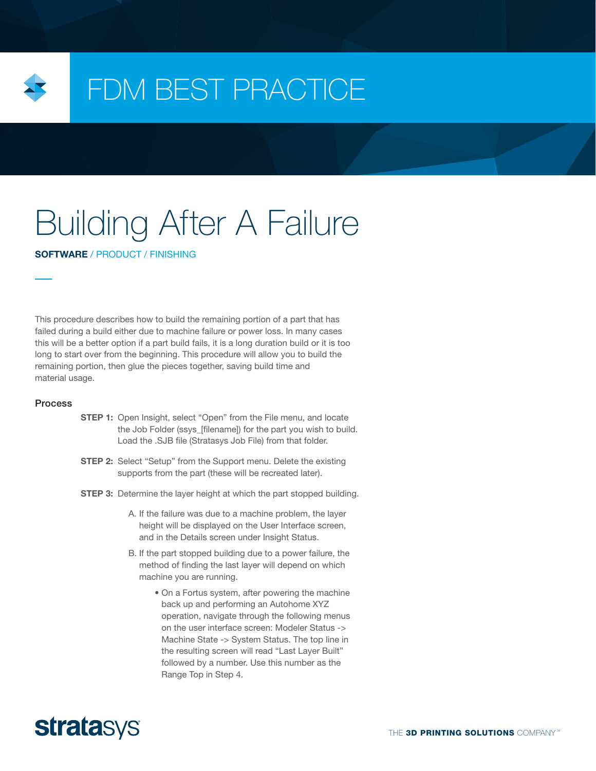

## FDM BEST PRACTICE

# Building After A Failure

SOFTWARE / PRODUCT / FINISHING

This procedure describes how to build the remaining portion of a part that has failed during a build either due to machine failure or power loss. In many cases this will be a better option if a part build fails, it is a long duration build or it is too long to start over from the beginning. This procedure will allow you to build the remaining portion, then glue the pieces together, saving build time and material usage.

#### Process

- **STEP 1:** Open Insight, select "Open" from the File menu, and locate the Job Folder (ssys\_[filename]) for the part you wish to build. Load the .SJB file (Stratasys Job File) from that folder.
- **STEP 2:** Select "Setup" from the Support menu. Delete the existing supports from the part (these will be recreated later).
- **STEP 3:** Determine the layer height at which the part stopped building.
	- A. If the failure was due to a machine problem, the layer height will be displayed on the User Interface screen, and in the Details screen under Insight Status.
	- B. If the part stopped building due to a power failure, the method of finding the last layer will depend on which machine you are running.
		- On a Fortus system, after powering the machine back up and performing an Autohome XYZ operation, navigate through the following menus on the user interface screen: Modeler Status -> Machine State -> System Status. The top line in the resulting screen will read "Last Layer Built" followed by a number. Use this number as the Range Top in Step 4.

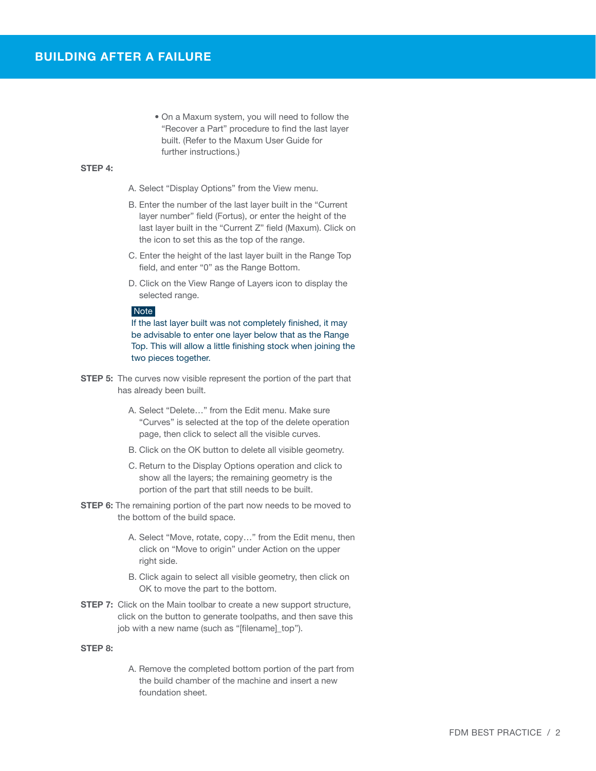• On a Maxum system, you will need to follow the "Recover a Part" procedure to find the last layer built. (Refer to the Maxum User Guide for further instructions.)

#### STEP 4:

- A. Select "Display Options" from the View menu.
- B. Enter the number of the last layer built in the "Current layer number" field (Fortus), or enter the height of the last layer built in the "Current Z" field (Maxum). Click on the icon to set this as the top of the range.
- C. Enter the height of the last layer built in the Range Top field, and enter "0" as the Range Bottom.
- D. Click on the View Range of Layers icon to display the selected range.

#### **Note**

If the last layer built was not completely finished, it may be advisable to enter one layer below that as the Range Top. This will allow a little finishing stock when joining the two pieces together.

- **STEP 5:** The curves now visible represent the portion of the part that has already been built.
	- A. Select "Delete…" from the Edit menu. Make sure "Curves" is selected at the top of the delete operation page, then click to select all the visible curves.
	- B. Click on the OK button to delete all visible geometry.
	- C. Return to the Display Options operation and click to show all the layers; the remaining geometry is the portion of the part that still needs to be built.
- **STEP 6:** The remaining portion of the part now needs to be moved to the bottom of the build space.
	- A. Select "Move, rotate, copy…" from the Edit menu, then click on "Move to origin" under Action on the upper right side.
	- B. Click again to select all visible geometry, then click on OK to move the part to the bottom.
- **STEP 7:** Click on the Main toolbar to create a new support structure, click on the button to generate toolpaths, and then save this job with a new name (such as "[filename]\_top").

#### STEP 8:

A. Remove the completed bottom portion of the part from the build chamber of the machine and insert a new foundation sheet.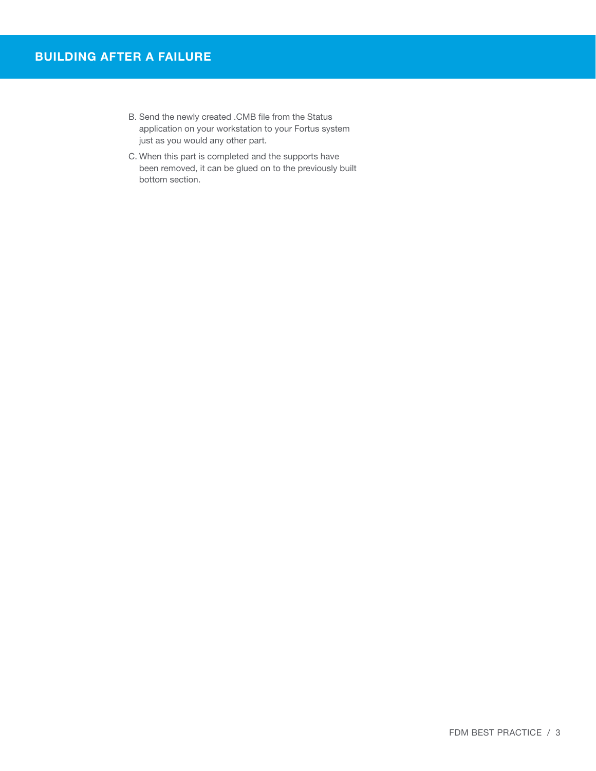- B. Send the newly created .CMB file from the Status application on your workstation to your Fortus system just as you would any other part.
- C. When this part is completed and the supports have been removed, it can be glued on to the previously built bottom section.